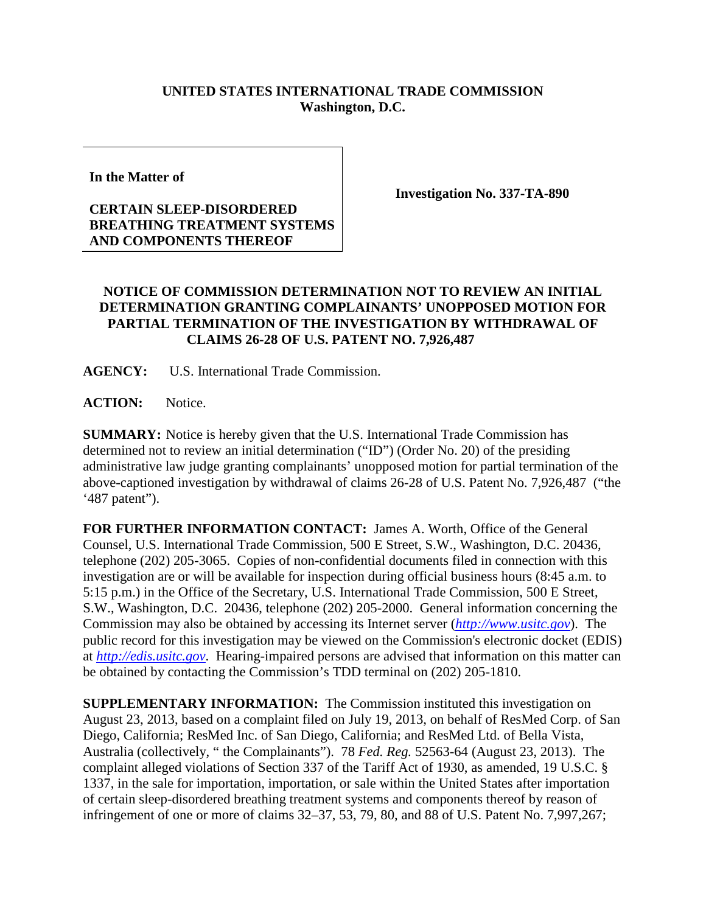## **UNITED STATES INTERNATIONAL TRADE COMMISSION Washington, D.C.**

**In the Matter of**

## **CERTAIN SLEEP-DISORDERED BREATHING TREATMENT SYSTEMS AND COMPONENTS THEREOF**

**Investigation No. 337-TA-890**

## **NOTICE OF COMMISSION DETERMINATION NOT TO REVIEW AN INITIAL DETERMINATION GRANTING COMPLAINANTS' UNOPPOSED MOTION FOR PARTIAL TERMINATION OF THE INVESTIGATION BY WITHDRAWAL OF CLAIMS 26-28 OF U.S. PATENT NO. 7,926,487**

**AGENCY:** U.S. International Trade Commission.

**ACTION:** Notice.

**SUMMARY:** Notice is hereby given that the U.S. International Trade Commission has determined not to review an initial determination ("ID") (Order No. 20) of the presiding administrative law judge granting complainants' unopposed motion for partial termination of the above-captioned investigation by withdrawal of claims 26-28 of U.S. Patent No. 7,926,487 ("the '487 patent").

**FOR FURTHER INFORMATION CONTACT:** James A. Worth, Office of the General Counsel, U.S. International Trade Commission, 500 E Street, S.W., Washington, D.C. 20436, telephone (202) 205-3065. Copies of non-confidential documents filed in connection with this investigation are or will be available for inspection during official business hours (8:45 a.m. to 5:15 p.m.) in the Office of the Secretary, U.S. International Trade Commission, 500 E Street, S.W., Washington, D.C. 20436, telephone (202) 205-2000. General information concerning the Commission may also be obtained by accessing its Internet server (*[http://www.usitc.gov](http://www.usitc.gov/)*). The public record for this investigation may be viewed on the Commission's electronic docket (EDIS) at *[http://edis.usitc.gov](http://edis.usitc.gov/)*. Hearing-impaired persons are advised that information on this matter can be obtained by contacting the Commission's TDD terminal on (202) 205-1810.

**SUPPLEMENTARY INFORMATION:** The Commission instituted this investigation on August 23, 2013, based on a complaint filed on July 19, 2013, on behalf of ResMed Corp. of San Diego, California; ResMed Inc. of San Diego, California; and ResMed Ltd. of Bella Vista, Australia (collectively, " the Complainants"). 78 *Fed. Reg.* 52563-64 (August 23, 2013). The complaint alleged violations of Section 337 of the Tariff Act of 1930, as amended, 19 U.S.C. § 1337, in the sale for importation, importation, or sale within the United States after importation of certain sleep-disordered breathing treatment systems and components thereof by reason of infringement of one or more of claims 32–37, 53, 79, 80, and 88 of U.S. Patent No. 7,997,267;